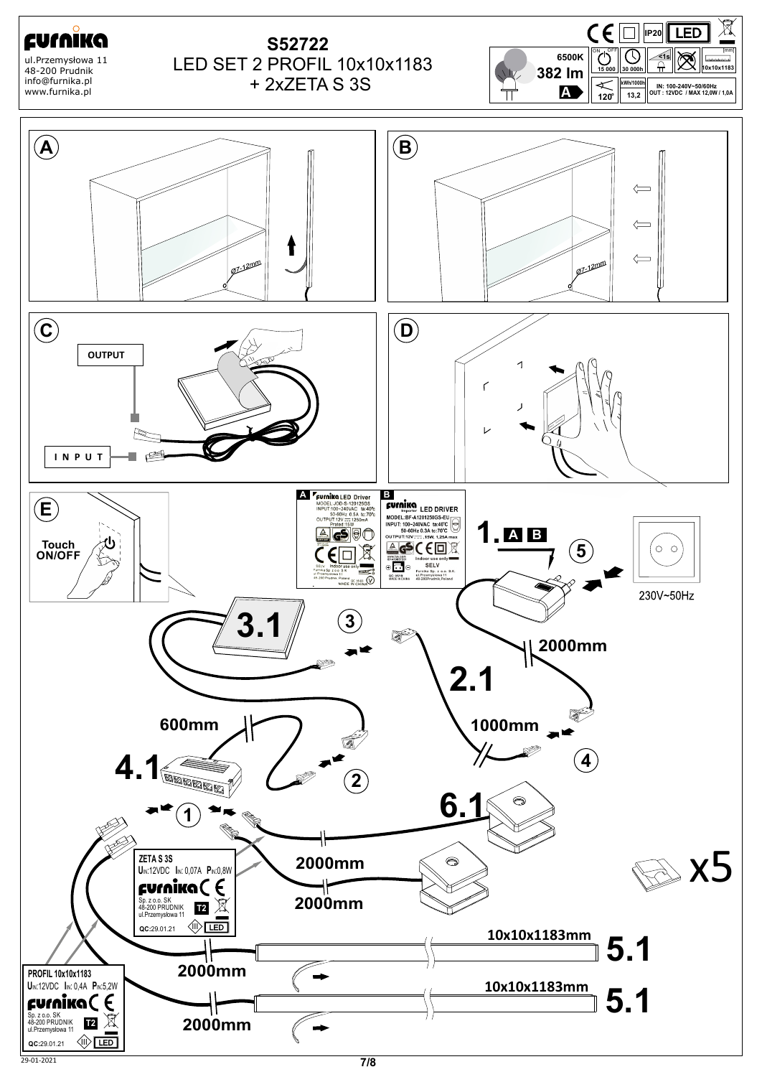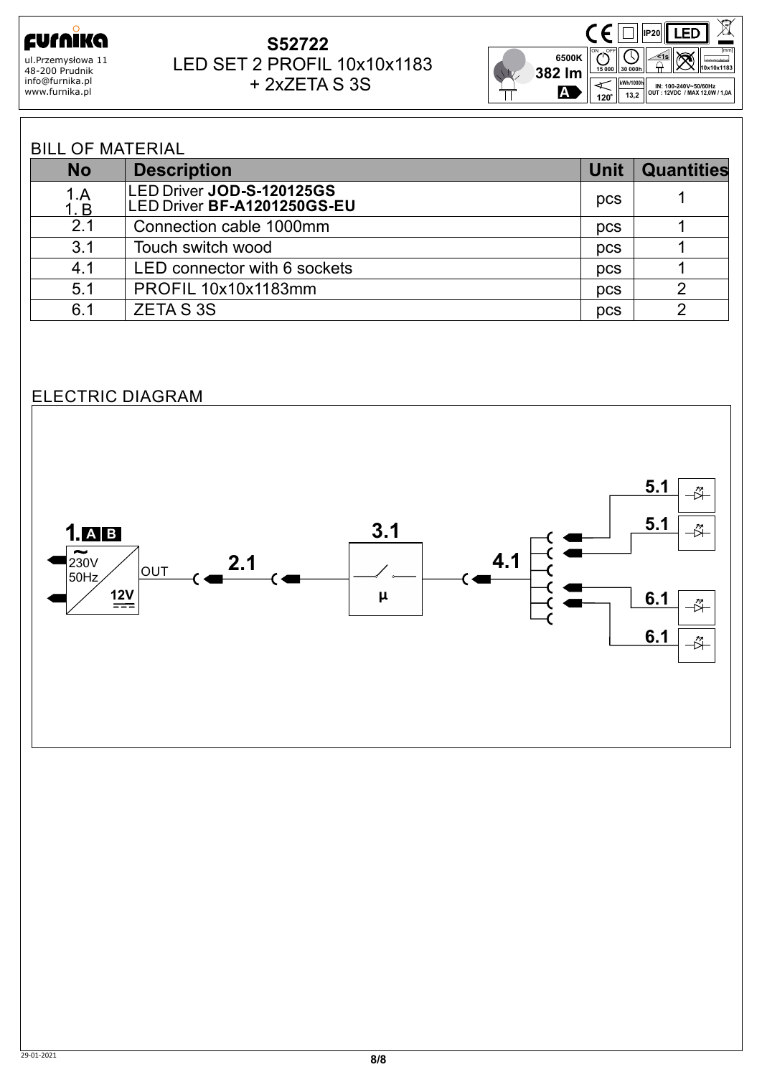ΪKΩ curn ul.Przemysłowa 11 48-200 Prudnik info@furnika.pl www.furnika.pl

## + 2xZETA S 3S **S52722** LED SET 2 PROFIL 10x10x1183



**INPUT: 100-240V~50/60Hz OUTPUT: 12VDC / MAX 15,0W** 

## BILL OF MATERIAL

| <b>No</b>   | <b>Description</b>                                       | <b>Unit</b> | <b>Quantities</b> |
|-------------|----------------------------------------------------------|-------------|-------------------|
| 1.A<br>1. B | LED Driver JOD-S-120125GS<br>LED Driver BF-A1201250GS-EU | pcs         |                   |
| 2.1         | Connection cable 1000mm                                  | <b>DCS</b>  |                   |
| 3.1         | Touch switch wood                                        | pcs         |                   |
| 4.1         | LED connector with 6 sockets                             | pcs         |                   |
| 5.1         | PROFIL 10x10x1183mm                                      | pcs         |                   |
| 6.1         | <b>ZETAS3S</b>                                           | pcs         |                   |

## ELECTRIC DIAGRAM